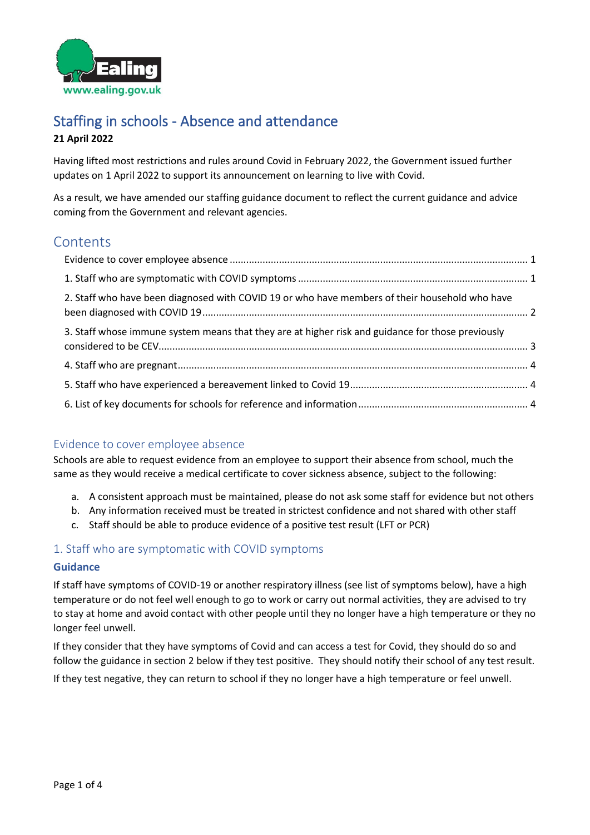

# Staffing in schools - Absence and attendance **21 April 2022**

Having lifted most restrictions and rules around Covid in February 2022, the Government issued further updates on 1 April 2022 to support its announcement on learning to live with Covid.

As a result, we have amended our staffing guidance document to reflect the current guidance and advice coming from the Government and relevant agencies.

# **Contents**

| 2. Staff who have been diagnosed with COVID 19 or who have members of their household who have    |  |
|---------------------------------------------------------------------------------------------------|--|
| 3. Staff whose immune system means that they are at higher risk and guidance for those previously |  |
|                                                                                                   |  |
|                                                                                                   |  |
|                                                                                                   |  |

## <span id="page-0-0"></span>Evidence to cover employee absence

Schools are able to request evidence from an employee to support their absence from school, much the same as they would receive a medical certificate to cover sickness absence, subject to the following:

- a. A consistent approach must be maintained, please do not ask some staff for evidence but not others
- b. Any information received must be treated in strictest confidence and not shared with other staff
- c. Staff should be able to produce evidence of a positive test result (LFT or PCR)

## <span id="page-0-1"></span>1. Staff who are symptomatic with COVID symptoms

### **Guidance**

If staff have symptoms of COVID-19 or another respiratory illness (see list of symptoms below), have a high temperature or do not feel well enough to go to work or carry out normal activities, they are advised to try to stay at home and avoid contact with other people until they no longer have a high temperature or they no longer feel unwell.

If they consider that they have symptoms of Covid and can access a test for Covid, they should do so and follow the guidance in section 2 below if they test positive. They should notify their school of any test result.

If they test negative, they can return to school if they no longer have a high temperature or feel unwell.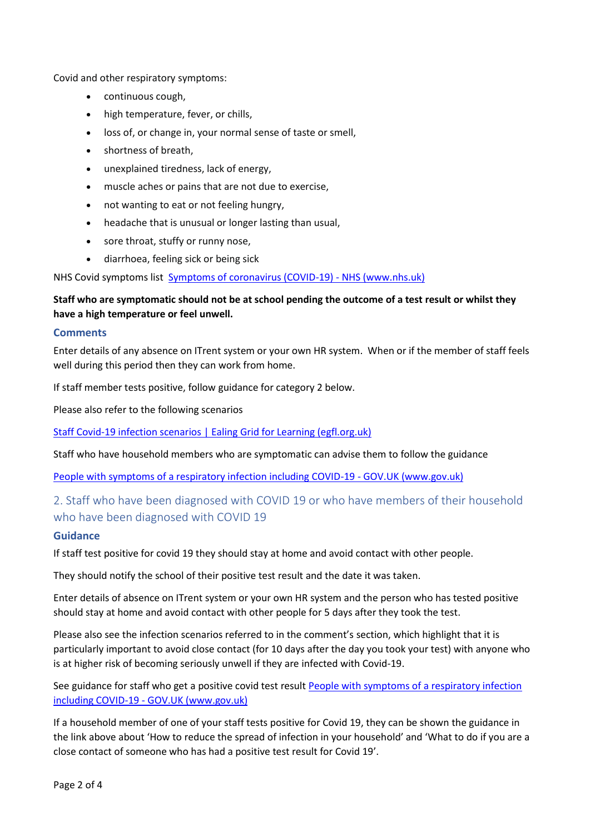Covid and other respiratory symptoms:

- continuous cough,
- high temperature, fever, or chills,
- loss of, or change in, your normal sense of taste or smell,
- shortness of breath,
- unexplained tiredness, lack of energy,
- muscle aches or pains that are not due to exercise,
- not wanting to eat or not feeling hungry,
- headache that is unusual or longer lasting than usual,
- sore throat, stuffy or runny nose,
- diarrhoea, feeling sick or being sick

NHS Covid symptoms list [Symptoms of coronavirus \(COVID-19\) -](https://www.nhs.uk/conditions/coronavirus-covid-19/symptoms/?msclkid=533af71fb98611ec8abcf2d9fc59fdf7) NHS (www.nhs.uk)

## **Staff who are symptomatic should not be at school pending the outcome of a test result or whilst they have a high temperature or feel unwell.**

### **Comments**

Enter details of any absence on ITrent system or your own HR system. When or if the member of staff feels well during this period then they can work from home.

If staff member tests positive, follow guidance for category 2 below.

Please also refer to the following scenarios

[Staff Covid-19 infection scenarios | Ealing Grid for Learning \(egfl.org.uk\)](https://www.egfl.org.uk/coronavirus/staff-covid-19-infection-scenarios)

Staff who have household members who are symptomatic can advise them to follow the guidance

[People with symptoms of a respiratory infection including COVID-19 -](https://www.gov.uk/guidance/people-with-symptoms-of-a-respiratory-infection-including-covid-19?utm_source=01%20April%202022%20C19&utm_medium=Daily%20Email%20C19&utm_campaign=DfE%20C19#what-to-do-if-you-are-a-close-contact-of-someone-who-has-had-a-positive-test-result-for-covid-19) GOV.UK (www.gov.uk)

## <span id="page-1-0"></span>2. Staff who have been diagnosed with COVID 19 or who have members of their household who have been diagnosed with COVID 19

### **Guidance**

If staff test positive for covid 19 they should stay at home and avoid contact with other people.

They should notify the school of their positive test result and the date it was taken.

Enter details of absence on ITrent system or your own HR system and the person who has tested positive should stay at home and avoid contact with other people for 5 days after they took the test.

Please also see the infection scenarios referred to in the comment's section, which highlight that it is particularly important to avoid close contact (for 10 days after the day you took your test) with anyone who is at higher risk of becoming seriously unwell if they are infected with Covid-19.

See guidance for staff who get a positive covid test result [People with symptoms of a respiratory infection](https://www.gov.uk/guidance/people-with-symptoms-of-a-respiratory-infection-including-covid-19?utm_source=01%20April%202022%20C19&utm_medium=Daily%20Email%20C19&utm_campaign=DfE%20C19#what-to-do-if-you-have-a-positive-covid-19-test-result)  including COVID-19 - [GOV.UK \(www.gov.uk\)](https://www.gov.uk/guidance/people-with-symptoms-of-a-respiratory-infection-including-covid-19?utm_source=01%20April%202022%20C19&utm_medium=Daily%20Email%20C19&utm_campaign=DfE%20C19#what-to-do-if-you-have-a-positive-covid-19-test-result)

If a household member of one of your staff tests positive for Covid 19, they can be shown the guidance in the link above about 'How to reduce the spread of infection in your household' and 'What to do if you are a close contact of someone who has had a positive test result for Covid 19'.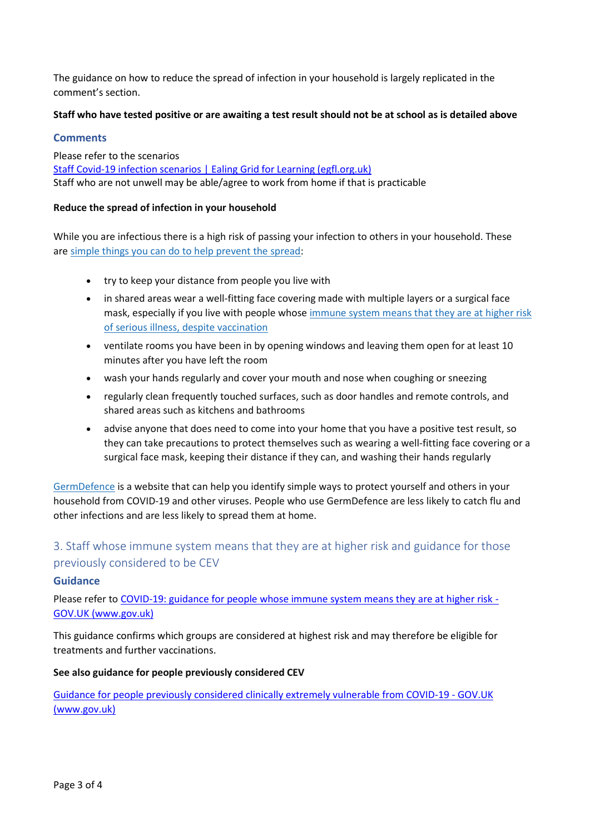The guidance on how to reduce the spread of infection in your household is largely replicated in the comment's section.

### **Staff who have tested positive or are awaiting a test result should not be at school as is detailed above**

### **Comments**

Please refer to the scenarios [Staff Covid-19 infection scenarios | Ealing Grid for Learning \(egfl.org.uk\)](https://www.egfl.org.uk/coronavirus/staff-covid-19-infection-scenarios) Staff who are not unwell may be able/agree to work from home if that is practicable

### **Reduce the spread of infection in your household**

While you are infectious there is a high risk of passing your infection to others in your household. These are [simple things you can do to help prevent the spread:](https://assets.publishing.service.gov.uk/government/uploads/system/uploads/attachment_data/file/1065735/AG232_Safe_at_home_infographic.pdf)

- try to keep your distance from people you live with
- in shared areas wear a well-fitting face covering made with multiple layers or a surgical face mask, especially if you live with people whose [immune system means that they are at higher risk](https://www.gov.uk/government/publications/covid-19-guidance-for-people-whose-immune-system-means-they-are-at-higher-risk)  [of serious illness, despite vaccination](https://www.gov.uk/government/publications/covid-19-guidance-for-people-whose-immune-system-means-they-are-at-higher-risk)
- ventilate rooms you have been in by opening windows and leaving them open for at least 10 minutes after you have left the room
- wash your hands regularly and cover your mouth and nose when coughing or sneezing
- regularly clean frequently touched surfaces, such as door handles and remote controls, and shared areas such as kitchens and bathrooms
- advise anyone that does need to come into your home that you have a positive test result, so they can take precautions to protect themselves such as wearing a well-fitting face covering or a surgical face mask, keeping their distance if they can, and washing their hands regularly

[GermDefence](https://www.germdefence.org/) is a website that can help you identify simple ways to protect yourself and others in your household from COVID-19 and other viruses. People who use GermDefence are less likely to catch flu and other infections and are less likely to spread them at home.

## <span id="page-2-0"></span>3. Staff whose immune system means that they are at higher risk and guidance for those previously considered to be CEV

### **Guidance**

Please refer t[o COVID-19: guidance for people whose immune system means they are at higher risk -](https://www.gov.uk/government/publications/covid-19-guidance-for-people-whose-immune-system-means-they-are-at-higher-risk/covid-19-guidance-for-people-whose-immune-system-means-they-are-at-higher-risk) [GOV.UK \(www.gov.uk\)](https://www.gov.uk/government/publications/covid-19-guidance-for-people-whose-immune-system-means-they-are-at-higher-risk/covid-19-guidance-for-people-whose-immune-system-means-they-are-at-higher-risk)

This guidance confirms which groups are considered at highest risk and may therefore be eligible for treatments and further vaccinations.

### **See also guidance for people previously considered CEV**

[Guidance for people previously considered clinically extremely vulnerable from COVID-19 -](https://www.gov.uk/government/publications/guidance-on-shielding-and-protecting-extremely-vulnerable-persons-from-covid-19/guidance-on-shielding-and-protecting-extremely-vulnerable-persons-from-covid-19) GOV.UK [\(www.gov.uk\)](https://www.gov.uk/government/publications/guidance-on-shielding-and-protecting-extremely-vulnerable-persons-from-covid-19/guidance-on-shielding-and-protecting-extremely-vulnerable-persons-from-covid-19)